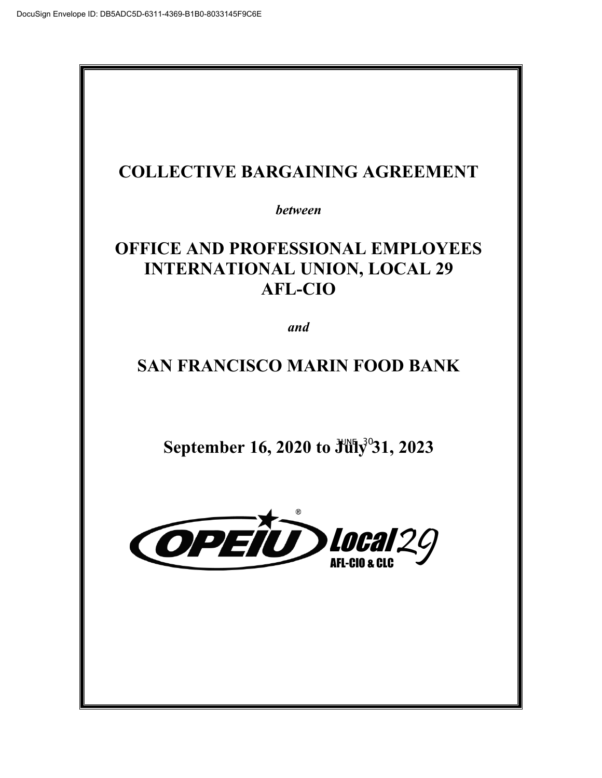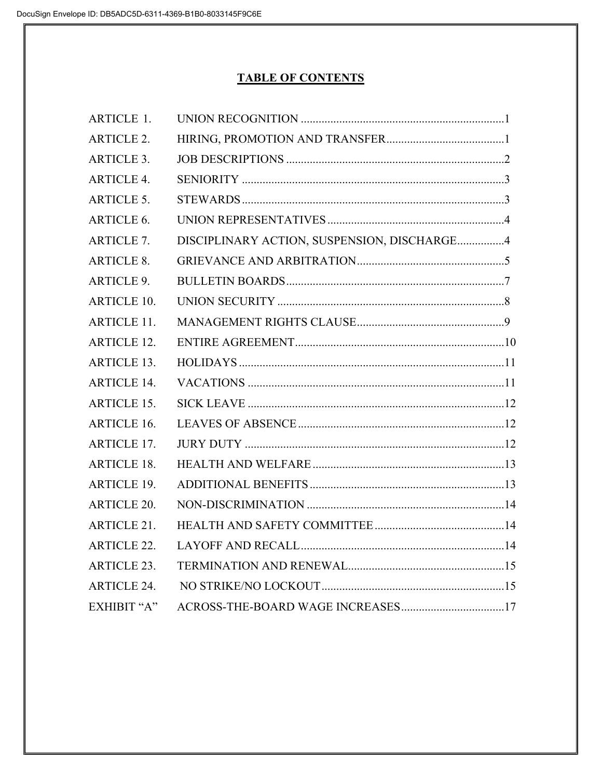# **TABLE OF CONTENTS**

| <b>ARTICLE 1.</b>  |                                             |  |
|--------------------|---------------------------------------------|--|
| <b>ARTICLE 2.</b>  |                                             |  |
| <b>ARTICLE 3.</b>  |                                             |  |
| <b>ARTICLE 4.</b>  |                                             |  |
| <b>ARTICLE 5.</b>  |                                             |  |
| ARTICLE 6.         |                                             |  |
| <b>ARTICLE 7.</b>  | DISCIPLINARY ACTION, SUSPENSION, DISCHARGE4 |  |
| <b>ARTICLE 8.</b>  |                                             |  |
| <b>ARTICLE 9.</b>  |                                             |  |
| <b>ARTICLE 10.</b> |                                             |  |
| <b>ARTICLE 11.</b> |                                             |  |
| <b>ARTICLE 12.</b> |                                             |  |
| <b>ARTICLE 13.</b> |                                             |  |
| <b>ARTICLE 14.</b> |                                             |  |
| <b>ARTICLE 15.</b> |                                             |  |
| <b>ARTICLE 16.</b> |                                             |  |
| <b>ARTICLE 17.</b> |                                             |  |
| <b>ARTICLE 18.</b> |                                             |  |
| <b>ARTICLE 19.</b> |                                             |  |
| <b>ARTICLE 20.</b> |                                             |  |
| <b>ARTICLE 21.</b> |                                             |  |
| <b>ARTICLE 22.</b> |                                             |  |
| <b>ARTICLE 23.</b> |                                             |  |
| <b>ARTICLE 24.</b> |                                             |  |
| EXHIBIT "A"        |                                             |  |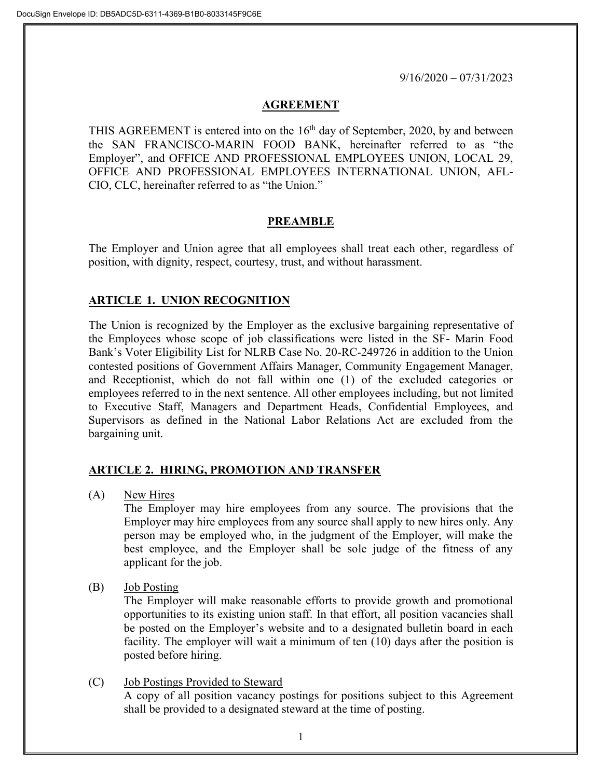9/16/2020 – 07/31/2023

#### **AGREEMENT**

THIS AGREEMENT is entered into on the  $16<sup>th</sup>$  day of September, 2020, by and between the SAN FRANCISCO-MARIN FOOD BANK, hereinafter referred to as "the Employer", and OFFICE AND PROFESSIONAL EMPLOYEES UNION, LOCAL 29, OFFICE AND PROFESSIONAL EMPLOYEES INTERNATIONAL UNION, AFL-CIO, CLC, hereinafter referred to as "the Union."

## **PREAMBLE**

The Employer and Union agree that all employees shall treat each other, regardless of position, with dignity, respect, courtesy, trust, and without harassment.

## **ARTICLE 1. UNION RECOGNITION**

The Union is recognized by the Employer as the exclusive bargaining representative of the Employees whose scope of job classifications were listed in the SF- Marin Food Bank's Voter Eligibility List for NLRB Case No. 20-RC-249726 in addition to the Union contested positions of Government Affairs Manager, Community Engagement Manager, and Receptionist, which do not fall within one (1) of the excluded categories or employees referred to in the next sentence. All other employees including, but not limited to Executive Staff, Managers and Department Heads, Confidential Employees, and Supervisors as defined in the National Labor Relations Act are excluded from the bargaining unit.

#### **ARTICLE 2. HIRING, PROMOTION AND TRANSFER**

(A) New Hires

The Employer may hire employees from any source. The provisions that the Employer may hire employees from any source shall apply to new hires only. Any person may be employed who, in the judgment of the Employer, will make the best employee, and the Employer shall be sole judge of the fitness of any applicant for the job.

(B) Job Posting

The Employer will make reasonable efforts to provide growth and promotional opportunities to its existing union staff. In that effort, all position vacancies shall be posted on the Employer's website and to a designated bulletin board in each facility. The employer will wait a minimum of ten (10) days after the position is posted before hiring.

(C) Job Postings Provided to Steward A copy of all position vacancy postings for positions subject to this Agreement shall be provided to a designated steward at the time of posting.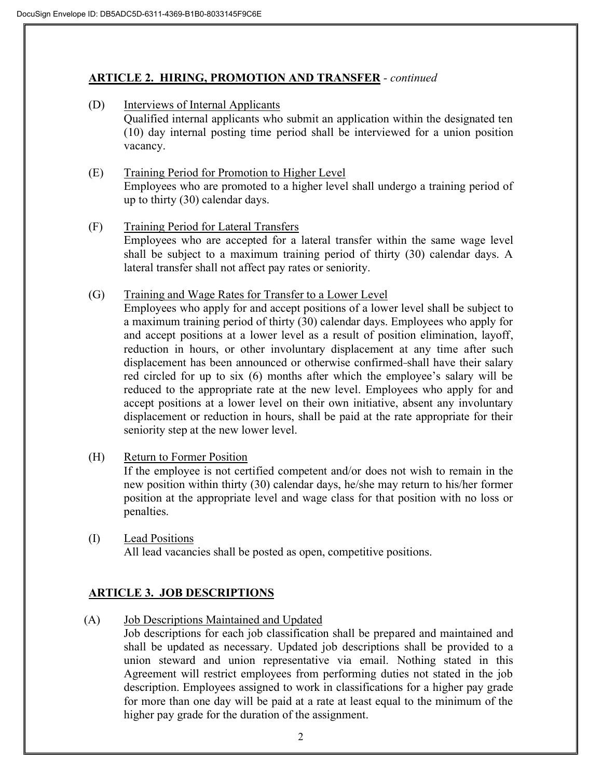## **ARTICLE 2. HIRING, PROMOTION AND TRANSFER** *- continued*

- (D) Interviews of Internal Applicants Qualified internal applicants who submit an application within the designated ten (10) day internal posting time period shall be interviewed for a union position vacancy.
- (E) Training Period for Promotion to Higher Level Employees who are promoted to a higher level shall undergo a training period of up to thirty (30) calendar days.
- (F) Training Period for Lateral Transfers Employees who are accepted for a lateral transfer within the same wage level shall be subject to a maximum training period of thirty (30) calendar days. A lateral transfer shall not affect pay rates or seniority.
- (G) Training and Wage Rates for Transfer to a Lower Level

Employees who apply for and accept positions of a lower level shall be subject to a maximum training period of thirty (30) calendar days. Employees who apply for and accept positions at a lower level as a result of position elimination, layoff, reduction in hours, or other involuntary displacement at any time after such displacement has been announced or otherwise confirmed shall have their salary red circled for up to six (6) months after which the employee's salary will be reduced to the appropriate rate at the new level. Employees who apply for and accept positions at a lower level on their own initiative, absent any involuntary displacement or reduction in hours, shall be paid at the rate appropriate for their seniority step at the new lower level.

(H) Return to Former Position

If the employee is not certified competent and/or does not wish to remain in the new position within thirty (30) calendar days, he/she may return to his/her former position at the appropriate level and wage class for that position with no loss or penalties.

(I) Lead Positions All lead vacancies shall be posted as open, competitive positions.

## **ARTICLE 3. JOB DESCRIPTIONS**

(A) Job Descriptions Maintained and Updated

Job descriptions for each job classification shall be prepared and maintained and shall be updated as necessary. Updated job descriptions shall be provided to a union steward and union representative via email. Nothing stated in this Agreement will restrict employees from performing duties not stated in the job description. Employees assigned to work in classifications for a higher pay grade for more than one day will be paid at a rate at least equal to the minimum of the higher pay grade for the duration of the assignment.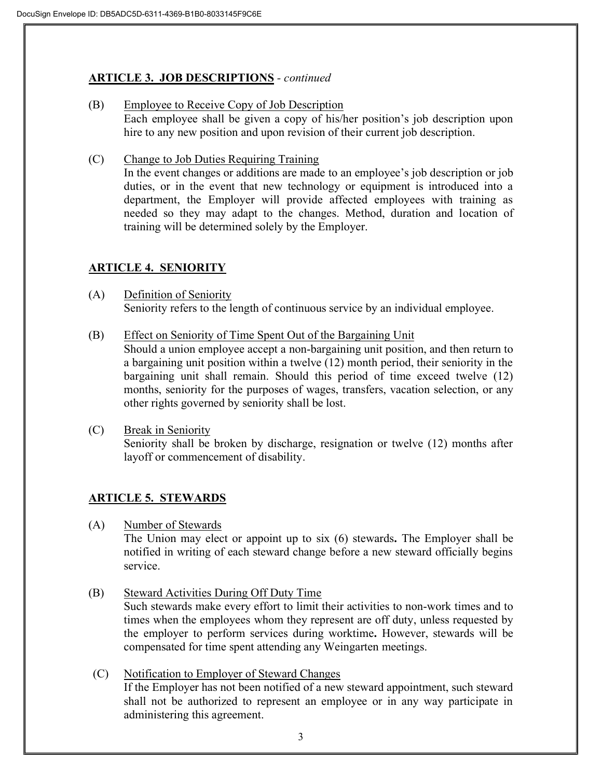## **ARTICLE 3. JOB DESCRIPTIONS** *- continued*

- (B) Employee to Receive Copy of Job Description Each employee shall be given a copy of his/her position's job description upon hire to any new position and upon revision of their current job description.
- (C) Change to Job Duties Requiring Training In the event changes or additions are made to an employee's job description or job duties, or in the event that new technology or equipment is introduced into a department, the Employer will provide affected employees with training as needed so they may adapt to the changes. Method, duration and location of training will be determined solely by the Employer.

# **ARTICLE 4. SENIORITY**

- (A) Definition of Seniority Seniority refers to the length of continuous service by an individual employee.
- (B) Effect on Seniority of Time Spent Out of the Bargaining Unit Should a union employee accept a non-bargaining unit position, and then return to a bargaining unit position within a twelve (12) month period, their seniority in the bargaining unit shall remain. Should this period of time exceed twelve (12) months, seniority for the purposes of wages, transfers, vacation selection, or any other rights governed by seniority shall be lost.
- (C) Break in Seniority Seniority shall be broken by discharge, resignation or twelve (12) months after layoff or commencement of disability.

## **ARTICLE 5. STEWARDS**

(A) Number of Stewards

The Union may elect or appoint up to six (6) stewards**.** The Employer shall be notified in writing of each steward change before a new steward officially begins service.

- (B) Steward Activities During Off Duty Time Such stewards make every effort to limit their activities to non-work times and to times when the employees whom they represent are off duty, unless requested by the employer to perform services during worktime**.** However, stewards will be compensated for time spent attending any Weingarten meetings.
- (C) Notification to Employer of Steward Changes If the Employer has not been notified of a new steward appointment, such steward shall not be authorized to represent an employee or in any way participate in administering this agreement.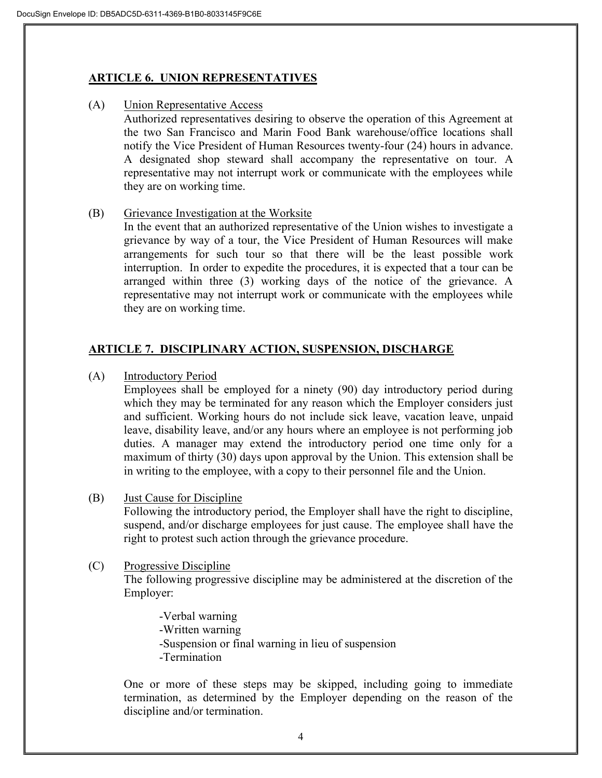#### **ARTICLE 6. UNION REPRESENTATIVES**

(A) Union Representative Access

Authorized representatives desiring to observe the operation of this Agreement at the two San Francisco and Marin Food Bank warehouse/office locations shall notify the Vice President of Human Resources twenty-four (24) hours in advance. A designated shop steward shall accompany the representative on tour. A representative may not interrupt work or communicate with the employees while they are on working time.

(B) Grievance Investigation at the Worksite

In the event that an authorized representative of the Union wishes to investigate a grievance by way of a tour, the Vice President of Human Resources will make arrangements for such tour so that there will be the least possible work interruption. In order to expedite the procedures, it is expected that a tour can be arranged within three (3) working days of the notice of the grievance. A representative may not interrupt work or communicate with the employees while they are on working time.

## **ARTICLE 7. DISCIPLINARY ACTION, SUSPENSION, DISCHARGE**

(A) Introductory Period

Employees shall be employed for a ninety (90) day introductory period during which they may be terminated for any reason which the Employer considers just and sufficient. Working hours do not include sick leave, vacation leave, unpaid leave, disability leave, and/or any hours where an employee is not performing job duties. A manager may extend the introductory period one time only for a maximum of thirty (30) days upon approval by the Union. This extension shall be in writing to the employee, with a copy to their personnel file and the Union.

(B) Just Cause for Discipline

Following the introductory period, the Employer shall have the right to discipline, suspend, and/or discharge employees for just cause. The employee shall have the right to protest such action through the grievance procedure.

(C) Progressive Discipline

The following progressive discipline may be administered at the discretion of the Employer:

-Verbal warning -Written warning -Suspension or final warning in lieu of suspension -Termination

One or more of these steps may be skipped, including going to immediate termination, as determined by the Employer depending on the reason of the discipline and/or termination.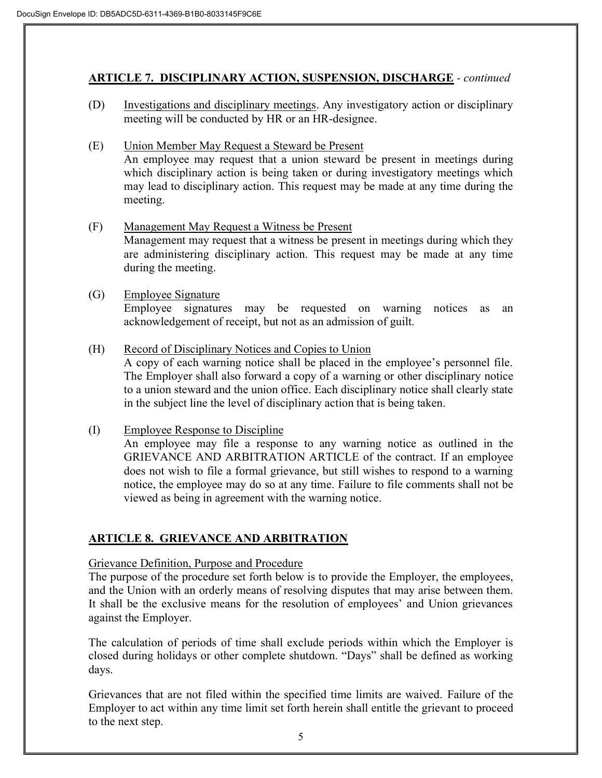## **ARTICLE 7. DISCIPLINARY ACTION, SUSPENSION, DISCHARGE** *- continued*

- (D) Investigations and disciplinary meetings. Any investigatory action or disciplinary meeting will be conducted by HR or an HR-designee.
- (E) Union Member May Request a Steward be Present An employee may request that a union steward be present in meetings during which disciplinary action is being taken or during investigatory meetings which may lead to disciplinary action. This request may be made at any time during the meeting.
- (F) Management May Request a Witness be Present Management may request that a witness be present in meetings during which they are administering disciplinary action. This request may be made at any time during the meeting.

#### (G) Employee Signature

Employee signatures may be requested on warning notices as an acknowledgement of receipt, but not as an admission of guilt.

- (H) Record of Disciplinary Notices and Copies to Union A copy of each warning notice shall be placed in the employee's personnel file. The Employer shall also forward a copy of a warning or other disciplinary notice to a union steward and the union office. Each disciplinary notice shall clearly state in the subject line the level of disciplinary action that is being taken.
- (I) Employee Response to Discipline

An employee may file a response to any warning notice as outlined in the GRIEVANCE AND ARBITRATION ARTICLE of the contract. If an employee does not wish to file a formal grievance, but still wishes to respond to a warning notice, the employee may do so at any time. Failure to file comments shall not be viewed as being in agreement with the warning notice.

## **ARTICLE 8. GRIEVANCE AND ARBITRATION**

#### Grievance Definition, Purpose and Procedure

The purpose of the procedure set forth below is to provide the Employer, the employees, and the Union with an orderly means of resolving disputes that may arise between them. It shall be the exclusive means for the resolution of employees' and Union grievances against the Employer.

The calculation of periods of time shall exclude periods within which the Employer is closed during holidays or other complete shutdown. "Days" shall be defined as working days.

Grievances that are not filed within the specified time limits are waived. Failure of the Employer to act within any time limit set forth herein shall entitle the grievant to proceed to the next step.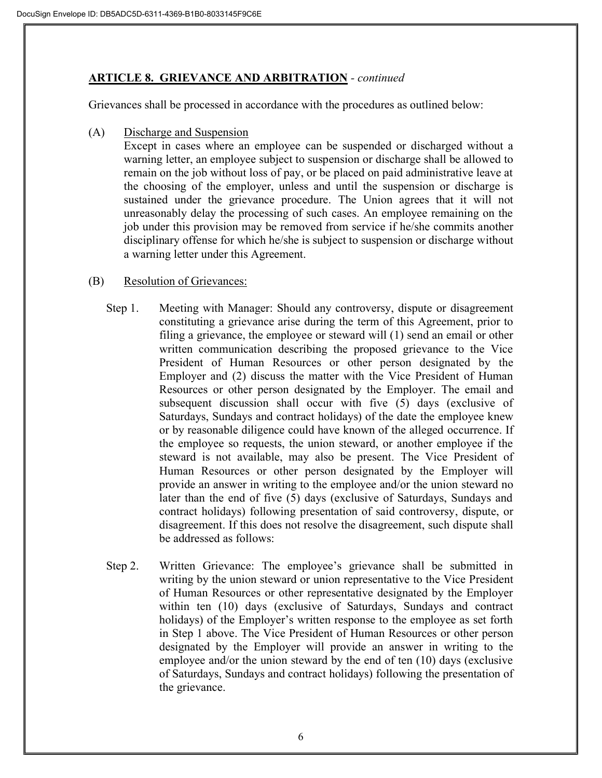## **ARTICLE 8. GRIEVANCE AND ARBITRATION** *- continued*

Grievances shall be processed in accordance with the procedures as outlined below:

(A) Discharge and Suspension

Except in cases where an employee can be suspended or discharged without a warning letter, an employee subject to suspension or discharge shall be allowed to remain on the job without loss of pay, or be placed on paid administrative leave at the choosing of the employer, unless and until the suspension or discharge is sustained under the grievance procedure. The Union agrees that it will not unreasonably delay the processing of such cases. An employee remaining on the job under this provision may be removed from service if he/she commits another disciplinary offense for which he/she is subject to suspension or discharge without a warning letter under this Agreement.

## (B) Resolution of Grievances:

- Step 1. Meeting with Manager: Should any controversy, dispute or disagreement constituting a grievance arise during the term of this Agreement, prior to filing a grievance, the employee or steward will (1) send an email or other written communication describing the proposed grievance to the Vice President of Human Resources or other person designated by the Employer and (2) discuss the matter with the Vice President of Human Resources or other person designated by the Employer. The email and subsequent discussion shall occur with five (5) days (exclusive of Saturdays, Sundays and contract holidays) of the date the employee knew or by reasonable diligence could have known of the alleged occurrence. If the employee so requests, the union steward, or another employee if the steward is not available, may also be present. The Vice President of Human Resources or other person designated by the Employer will provide an answer in writing to the employee and/or the union steward no later than the end of five (5) days (exclusive of Saturdays, Sundays and contract holidays) following presentation of said controversy, dispute, or disagreement. If this does not resolve the disagreement, such dispute shall be addressed as follows:
- Step 2. Written Grievance: The employee's grievance shall be submitted in writing by the union steward or union representative to the Vice President of Human Resources or other representative designated by the Employer within ten (10) days (exclusive of Saturdays, Sundays and contract holidays) of the Employer's written response to the employee as set forth in Step 1 above. The Vice President of Human Resources or other person designated by the Employer will provide an answer in writing to the employee and/or the union steward by the end of ten (10) days (exclusive of Saturdays, Sundays and contract holidays) following the presentation of the grievance.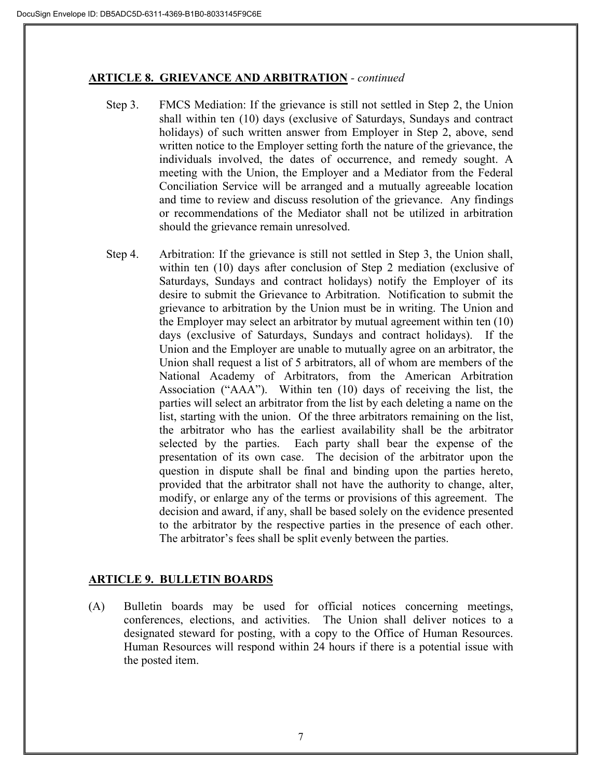#### **ARTICLE 8. GRIEVANCE AND ARBITRATION** *- continued*

- Step 3. FMCS Mediation: If the grievance is still not settled in Step 2, the Union shall within ten (10) days (exclusive of Saturdays, Sundays and contract holidays) of such written answer from Employer in Step 2, above, send written notice to the Employer setting forth the nature of the grievance, the individuals involved, the dates of occurrence, and remedy sought. A meeting with the Union, the Employer and a Mediator from the Federal Conciliation Service will be arranged and a mutually agreeable location and time to review and discuss resolution of the grievance. Any findings or recommendations of the Mediator shall not be utilized in arbitration should the grievance remain unresolved.
- Step 4. Arbitration: If the grievance is still not settled in Step 3, the Union shall, within ten (10) days after conclusion of Step 2 mediation (exclusive of Saturdays, Sundays and contract holidays) notify the Employer of its desire to submit the Grievance to Arbitration. Notification to submit the grievance to arbitration by the Union must be in writing. The Union and the Employer may select an arbitrator by mutual agreement within ten (10) days (exclusive of Saturdays, Sundays and contract holidays). If the Union and the Employer are unable to mutually agree on an arbitrator, the Union shall request a list of 5 arbitrators, all of whom are members of the National Academy of Arbitrators, from the American Arbitration Association ("AAA"). Within ten (10) days of receiving the list, the parties will select an arbitrator from the list by each deleting a name on the list, starting with the union. Of the three arbitrators remaining on the list, the arbitrator who has the earliest availability shall be the arbitrator selected by the parties. Each party shall bear the expense of the presentation of its own case. The decision of the arbitrator upon the question in dispute shall be final and binding upon the parties hereto, provided that the arbitrator shall not have the authority to change, alter, modify, or enlarge any of the terms or provisions of this agreement. The decision and award, if any, shall be based solely on the evidence presented to the arbitrator by the respective parties in the presence of each other. The arbitrator's fees shall be split evenly between the parties.

## **ARTICLE 9. BULLETIN BOARDS**

(A) Bulletin boards may be used for official notices concerning meetings, conferences, elections, and activities. The Union shall deliver notices to a designated steward for posting, with a copy to the Office of Human Resources. Human Resources will respond within 24 hours if there is a potential issue with the posted item.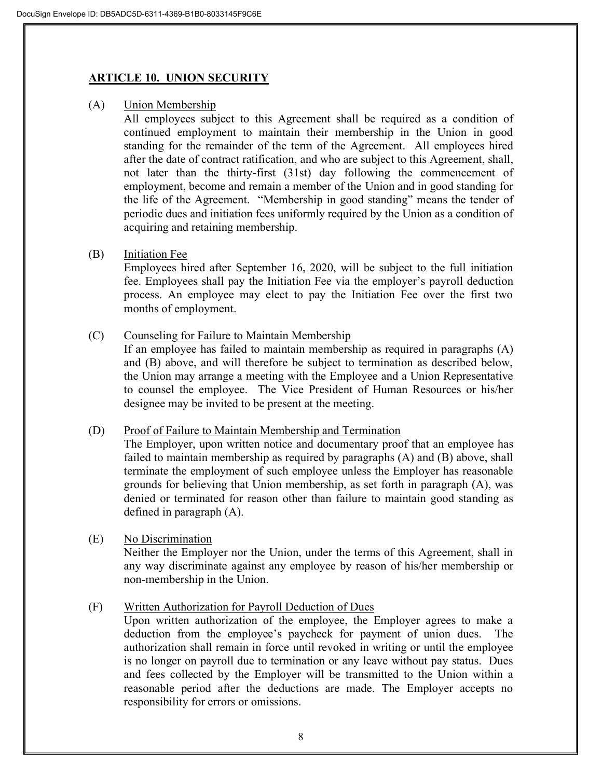## **ARTICLE 10. UNION SECURITY**

(A) Union Membership

All employees subject to this Agreement shall be required as a condition of continued employment to maintain their membership in the Union in good standing for the remainder of the term of the Agreement. All employees hired after the date of contract ratification, and who are subject to this Agreement, shall, not later than the thirty-first (31st) day following the commencement of employment, become and remain a member of the Union and in good standing for the life of the Agreement. "Membership in good standing" means the tender of periodic dues and initiation fees uniformly required by the Union as a condition of acquiring and retaining membership.

#### (B) Initiation Fee

Employees hired after September 16, 2020, will be subject to the full initiation fee. Employees shall pay the Initiation Fee via the employer's payroll deduction process. An employee may elect to pay the Initiation Fee over the first two months of employment.

(C) Counseling for Failure to Maintain Membership

If an employee has failed to maintain membership as required in paragraphs (A) and (B) above, and will therefore be subject to termination as described below, the Union may arrange a meeting with the Employee and a Union Representative to counsel the employee. The Vice President of Human Resources or his/her designee may be invited to be present at the meeting.

#### (D) Proof of Failure to Maintain Membership and Termination

The Employer, upon written notice and documentary proof that an employee has failed to maintain membership as required by paragraphs (A) and (B) above, shall terminate the employment of such employee unless the Employer has reasonable grounds for believing that Union membership, as set forth in paragraph (A), was denied or terminated for reason other than failure to maintain good standing as defined in paragraph (A).

#### (E) No Discrimination

Neither the Employer nor the Union, under the terms of this Agreement, shall in any way discriminate against any employee by reason of his/her membership or non-membership in the Union.

#### (F) Written Authorization for Payroll Deduction of Dues

Upon written authorization of the employee, the Employer agrees to make a deduction from the employee's paycheck for payment of union dues. The authorization shall remain in force until revoked in writing or until the employee is no longer on payroll due to termination or any leave without pay status. Dues and fees collected by the Employer will be transmitted to the Union within a reasonable period after the deductions are made. The Employer accepts no responsibility for errors or omissions.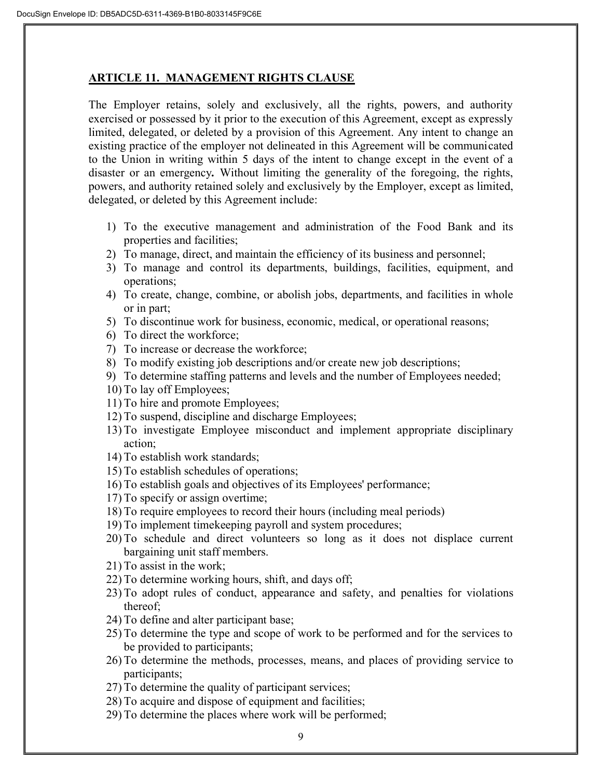#### **ARTICLE 11. MANAGEMENT RIGHTS CLAUSE**

The Employer retains, solely and exclusively, all the rights, powers, and authority exercised or possessed by it prior to the execution of this Agreement, except as expressly limited, delegated, or deleted by a provision of this Agreement. Any intent to change an existing practice of the employer not delineated in this Agreement will be communicated to the Union in writing within 5 days of the intent to change except in the event of a disaster or an emergency*.* Without limiting the generality of the foregoing, the rights, powers, and authority retained solely and exclusively by the Employer, except as limited, delegated, or deleted by this Agreement include:

- 1) To the executive management and administration of the Food Bank and its properties and facilities;
- 2) To manage, direct, and maintain the efficiency of its business and personnel;
- 3) To manage and control its departments, buildings, facilities, equipment, and operations;
- 4) To create, change, combine, or abolish jobs, departments, and facilities in whole or in part;
- 5) To discontinue work for business, economic, medical, or operational reasons;
- 6) To direct the workforce;
- 7) To increase or decrease the workforce;
- 8) To modify existing job descriptions and/or create new job descriptions;
- 9) To determine staffing patterns and levels and the number of Employees needed;
- 10) To lay off Employees;
- 11) To hire and promote Employees;
- 12) To suspend, discipline and discharge Employees;
- 13) To investigate Employee misconduct and implement appropriate disciplinary action;
- 14) To establish work standards;
- 15) To establish schedules of operations;
- 16) To establish goals and objectives of its Employees' performance;
- 17) To specify or assign overtime;
- 18) To require employees to record their hours (including meal periods)
- 19) To implement timekeeping payroll and system procedures;
- 20) To schedule and direct volunteers so long as it does not displace current bargaining unit staff members.
- 21) To assist in the work;
- 22) To determine working hours, shift, and days off;
- 23) To adopt rules of conduct, appearance and safety, and penalties for violations thereof;
- 24) To define and alter participant base;
- 25) To determine the type and scope of work to be performed and for the services to be provided to participants;
- 26) To determine the methods, processes, means, and places of providing service to participants;
- 27) To determine the quality of participant services;
- 28) To acquire and dispose of equipment and facilities;
- 29) To determine the places where work will be performed;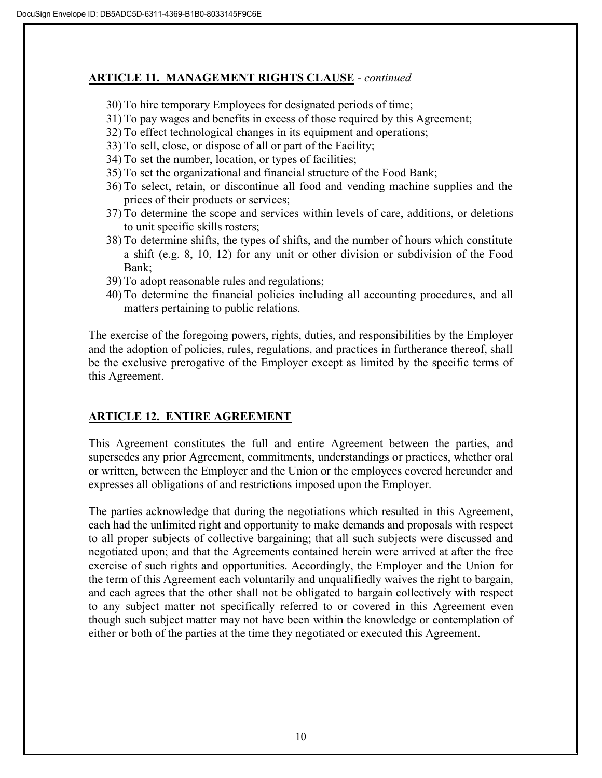#### **ARTICLE 11. MANAGEMENT RIGHTS CLAUSE** *- continued*

- 30) To hire temporary Employees for designated periods of time;
- 31) To pay wages and benefits in excess of those required by this Agreement;
- 32) To effect technological changes in its equipment and operations;
- 33) To sell, close, or dispose of all or part of the Facility;
- 34) To set the number, location, or types of facilities;
- 35) To set the organizational and financial structure of the Food Bank;
- 36) To select, retain, or discontinue all food and vending machine supplies and the prices of their products or services;
- 37) To determine the scope and services within levels of care, additions, or deletions to unit specific skills rosters;
- 38) To determine shifts, the types of shifts, and the number of hours which constitute a shift (e.g. 8, 10, 12) for any unit or other division or subdivision of the Food Bank;
- 39) To adopt reasonable rules and regulations;
- 40) To determine the financial policies including all accounting procedures, and all matters pertaining to public relations.

The exercise of the foregoing powers, rights, duties, and responsibilities by the Employer and the adoption of policies, rules, regulations, and practices in furtherance thereof, shall be the exclusive prerogative of the Employer except as limited by the specific terms of this Agreement.

## **ARTICLE 12. ENTIRE AGREEMENT**

This Agreement constitutes the full and entire Agreement between the parties, and supersedes any prior Agreement, commitments, understandings or practices, whether oral or written, between the Employer and the Union or the employees covered hereunder and expresses all obligations of and restrictions imposed upon the Employer.

The parties acknowledge that during the negotiations which resulted in this Agreement, each had the unlimited right and opportunity to make demands and proposals with respect to all proper subjects of collective bargaining; that all such subjects were discussed and negotiated upon; and that the Agreements contained herein were arrived at after the free exercise of such rights and opportunities. Accordingly, the Employer and the Union for the term of this Agreement each voluntarily and unqualifiedly waives the right to bargain, and each agrees that the other shall not be obligated to bargain collectively with respect to any subject matter not specifically referred to or covered in this Agreement even though such subject matter may not have been within the knowledge or contemplation of either or both of the parties at the time they negotiated or executed this Agreement.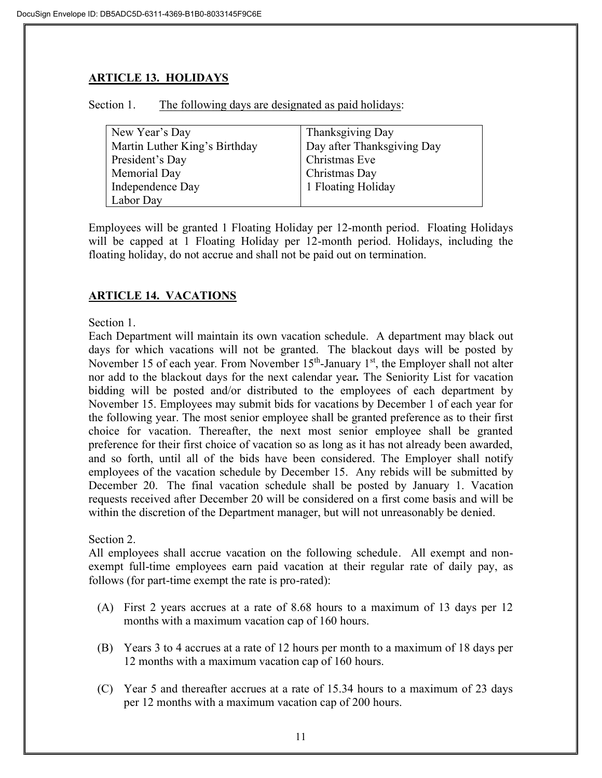# **ARTICLE 13. HOLIDAYS**

| Section 1. | The following days are designated as paid holidays: |  |  |  |
|------------|-----------------------------------------------------|--|--|--|
|            |                                                     |  |  |  |

| New Year's Day                | Thanksgiving Day           |
|-------------------------------|----------------------------|
| Martin Luther King's Birthday | Day after Thanksgiving Day |
| President's Day               | Christmas Eve              |
| Memorial Day                  | Christmas Day              |
| Independence Day              | 1 Floating Holiday         |
| Labor Day                     |                            |

Employees will be granted 1 Floating Holiday per 12-month period. Floating Holidays will be capped at 1 Floating Holiday per 12-month period. Holidays, including the floating holiday, do not accrue and shall not be paid out on termination.

# **ARTICLE 14. VACATIONS**

#### Section 1.

Each Department will maintain its own vacation schedule. A department may black out days for which vacations will not be granted. The blackout days will be posted by November 15 of each year. From November 15<sup>th</sup>-January 1<sup>st</sup>, the Employer shall not alter nor add to the blackout days for the next calendar year*.* The Seniority List for vacation bidding will be posted and/or distributed to the employees of each department by November 15. Employees may submit bids for vacations by December 1 of each year for the following year. The most senior employee shall be granted preference as to their first choice for vacation. Thereafter, the next most senior employee shall be granted preference for their first choice of vacation so as long as it has not already been awarded, and so forth, until all of the bids have been considered. The Employer shall notify employees of the vacation schedule by December 15. Any rebids will be submitted by December 20. The final vacation schedule shall be posted by January 1. Vacation requests received after December 20 will be considered on a first come basis and will be within the discretion of the Department manager, but will not unreasonably be denied.

#### Section 2.

All employees shall accrue vacation on the following schedule. All exempt and nonexempt full-time employees earn paid vacation at their regular rate of daily pay, as follows (for part-time exempt the rate is pro-rated):

- (A) First 2 years accrues at a rate of 8.68 hours to a maximum of 13 days per 12 months with a maximum vacation cap of 160 hours.
- (B) Years 3 to 4 accrues at a rate of 12 hours per month to a maximum of 18 days per 12 months with a maximum vacation cap of 160 hours.
- (C) Year 5 and thereafter accrues at a rate of 15.34 hours to a maximum of 23 days per 12 months with a maximum vacation cap of 200 hours.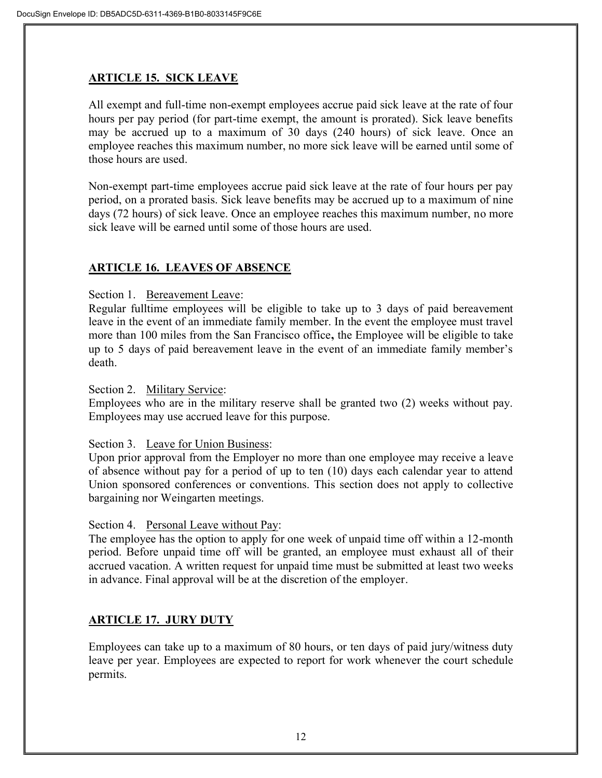## **ARTICLE 15. SICK LEAVE**

All exempt and full-time non-exempt employees accrue paid sick leave at the rate of four hours per pay period (for part-time exempt, the amount is prorated). Sick leave benefits may be accrued up to a maximum of 30 days (240 hours) of sick leave. Once an employee reaches this maximum number, no more sick leave will be earned until some of those hours are used.

Non-exempt part-time employees accrue paid sick leave at the rate of four hours per pay period, on a prorated basis. Sick leave benefits may be accrued up to a maximum of nine days (72 hours) of sick leave. Once an employee reaches this maximum number, no more sick leave will be earned until some of those hours are used.

## **ARTICLE 16. LEAVES OF ABSENCE**

Section 1. Bereavement Leave:

Regular fulltime employees will be eligible to take up to 3 days of paid bereavement leave in the event of an immediate family member. In the event the employee must travel more than 100 miles from the San Francisco office**,** the Employee will be eligible to take up to 5 days of paid bereavement leave in the event of an immediate family member's death.

Section 2. Military Service:

Employees who are in the military reserve shall be granted two (2) weeks without pay. Employees may use accrued leave for this purpose.

#### Section 3. Leave for Union Business:

Upon prior approval from the Employer no more than one employee may receive a leave of absence without pay for a period of up to ten (10) days each calendar year to attend Union sponsored conferences or conventions. This section does not apply to collective bargaining nor Weingarten meetings.

Section 4. Personal Leave without Pay:

The employee has the option to apply for one week of unpaid time off within a 12-month period. Before unpaid time off will be granted, an employee must exhaust all of their accrued vacation. A written request for unpaid time must be submitted at least two weeks in advance. Final approval will be at the discretion of the employer.

## **ARTICLE 17. JURY DUTY**

Employees can take up to a maximum of 80 hours, or ten days of paid jury/witness duty leave per year. Employees are expected to report for work whenever the court schedule permits.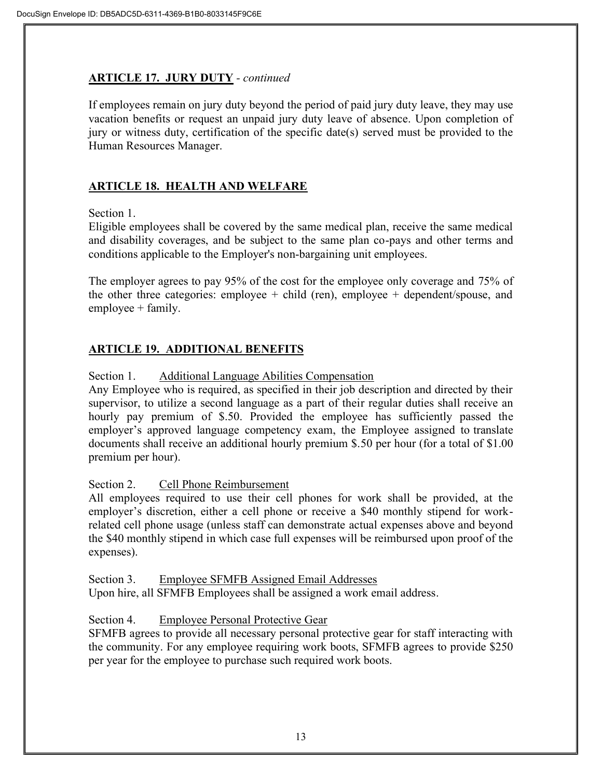#### **ARTICLE 17. JURY DUTY** *- continued*

If employees remain on jury duty beyond the period of paid jury duty leave, they may use vacation benefits or request an unpaid jury duty leave of absence. Upon completion of jury or witness duty, certification of the specific date(s) served must be provided to the Human Resources Manager.

## **ARTICLE 18. HEALTH AND WELFARE**

Section 1.

Eligible employees shall be covered by the same medical plan, receive the same medical and disability coverages, and be subject to the same plan co-pays and other terms and conditions applicable to the Employer's non-bargaining unit employees.

The employer agrees to pay 95% of the cost for the employee only coverage and 75% of the other three categories: employee + child (ren), employee + dependent/spouse, and employee + family.

## **ARTICLE 19. ADDITIONAL BENEFITS**

Section 1. Additional Language Abilities Compensation

Any Employee who is required, as specified in their job description and directed by their supervisor, to utilize a second language as a part of their regular duties shall receive an hourly pay premium of \$.50. Provided the employee has sufficiently passed the employer's approved language competency exam, the Employee assigned to translate documents shall receive an additional hourly premium \$.50 per hour (for a total of \$1.00 premium per hour).

#### Section 2. Cell Phone Reimbursement

All employees required to use their cell phones for work shall be provided, at the employer's discretion, either a cell phone or receive a \$40 monthly stipend for workrelated cell phone usage (unless staff can demonstrate actual expenses above and beyond the \$40 monthly stipend in which case full expenses will be reimbursed upon proof of the expenses).

Section 3. Employee SFMFB Assigned Email Addresses

Upon hire, all SFMFB Employees shall be assigned a work email address.

#### Section 4. Employee Personal Protective Gear

SFMFB agrees to provide all necessary personal protective gear for staff interacting with the community. For any employee requiring work boots, SFMFB agrees to provide \$250 per year for the employee to purchase such required work boots.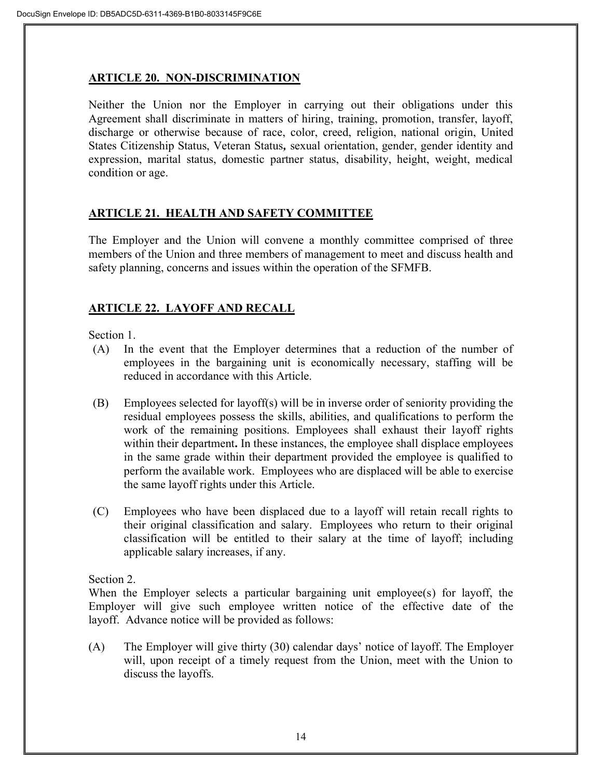## **ARTICLE 20. NON-DISCRIMINATION**

Neither the Union nor the Employer in carrying out their obligations under this Agreement shall discriminate in matters of hiring, training, promotion, transfer, layoff, discharge or otherwise because of race, color, creed, religion, national origin, United States Citizenship Status, Veteran Status*,* sexual orientation, gender, gender identity and expression, marital status, domestic partner status, disability, height, weight, medical condition or age.

## **ARTICLE 21. HEALTH AND SAFETY COMMITTEE**

The Employer and the Union will convene a monthly committee comprised of three members of the Union and three members of management to meet and discuss health and safety planning, concerns and issues within the operation of the SFMFB.

## **ARTICLE 22. LAYOFF AND RECALL**

Section 1.

- (A) In the event that the Employer determines that a reduction of the number of employees in the bargaining unit is economically necessary, staffing will be reduced in accordance with this Article.
- (B) Employees selected for layoff(s) will be in inverse order of seniority providing the residual employees possess the skills, abilities, and qualifications to perform the work of the remaining positions. Employees shall exhaust their layoff rights within their department**.** In these instances, the employee shall displace employees in the same grade within their department provided the employee is qualified to perform the available work. Employees who are displaced will be able to exercise the same layoff rights under this Article.
- (C) Employees who have been displaced due to a layoff will retain recall rights to their original classification and salary. Employees who return to their original classification will be entitled to their salary at the time of layoff; including applicable salary increases, if any.

Section 2.

When the Employer selects a particular bargaining unit employee(s) for layoff, the Employer will give such employee written notice of the effective date of the layoff. Advance notice will be provided as follows:

(A) The Employer will give thirty (30) calendar days' notice of layoff. The Employer will, upon receipt of a timely request from the Union, meet with the Union to discuss the layoffs.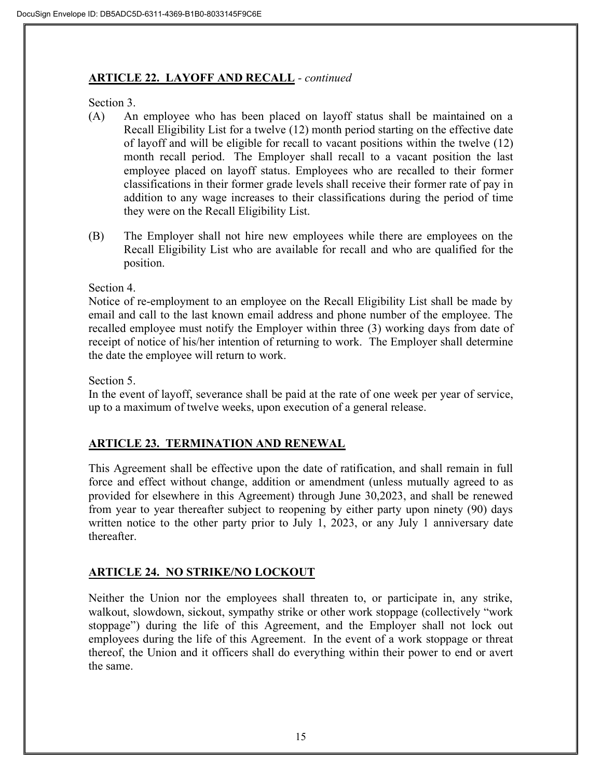#### **ARTICLE 22. LAYOFF AND RECALL** *- continued*

Section 3.

- (A) An employee who has been placed on layoff status shall be maintained on a Recall Eligibility List for a twelve (12) month period starting on the effective date of layoff and will be eligible for recall to vacant positions within the twelve (12) month recall period. The Employer shall recall to a vacant position the last employee placed on layoff status. Employees who are recalled to their former classifications in their former grade levels shall receive their former rate of pay in addition to any wage increases to their classifications during the period of time they were on the Recall Eligibility List.
- (B) The Employer shall not hire new employees while there are employees on the Recall Eligibility List who are available for recall and who are qualified for the position.

Section 4.

Notice of re-employment to an employee on the Recall Eligibility List shall be made by email and call to the last known email address and phone number of the employee. The recalled employee must notify the Employer within three (3) working days from date of receipt of notice of his/her intention of returning to work. The Employer shall determine the date the employee will return to work.

Section 5.

In the event of layoff, severance shall be paid at the rate of one week per year of service, up to a maximum of twelve weeks, upon execution of a general release.

## **ARTICLE 23. TERMINATION AND RENEWAL**

This Agreement shall be effective upon the date of ratification, and shall remain in full force and effect without change, addition or amendment (unless mutually agreed to as provided for elsewhere in this Agreement) through June 30,2023, and shall be renewed from year to year thereafter subject to reopening by either party upon ninety (90) days written notice to the other party prior to July 1, 2023, or any July 1 anniversary date thereafter.

## **ARTICLE 24. NO STRIKE/NO LOCKOUT**

Neither the Union nor the employees shall threaten to, or participate in, any strike, walkout, slowdown, sickout, sympathy strike or other work stoppage (collectively "work stoppage") during the life of this Agreement, and the Employer shall not lock out employees during the life of this Agreement. In the event of a work stoppage or threat thereof, the Union and it officers shall do everything within their power to end or avert the same.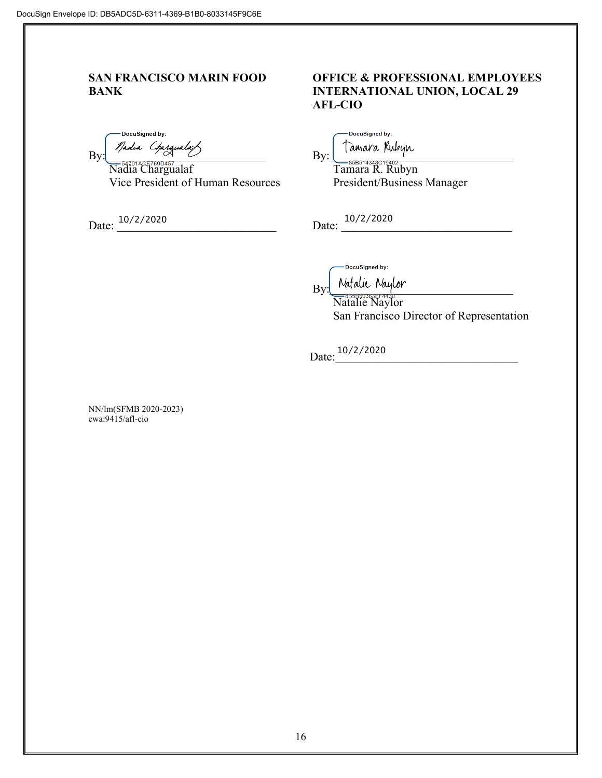-DocuSigned by:  $\mathsf{By}$   $\mathsf{By}$ :

 Nadia Chargualaf Tamara R. Rubyn *India Conguality*<br>
Nadia Chargualaf By: By: Tamara Rubyn<br>
Vice President of Human Resources President/Business Manager

Date:  $\frac{10}{2}/2020$  Date:  $\frac{10}{2}/2020$ 10/2/2020

#### **SAN FRANCISCO MARIN FOOD OFFICE & PROFESSIONAL EMPLOYEES BANK INTERNATIONAL UNION, LOCAL 29 AFL-CIO**

DocuSigned by:

DocuSigned by:

Natalie Naylor By:

> Natalie Naylor San Francisco Director of Representation

Date:  $\frac{10}{2}$  /2020

NN/lm(SFMB 2020-2023) cwa:9415/afl-cio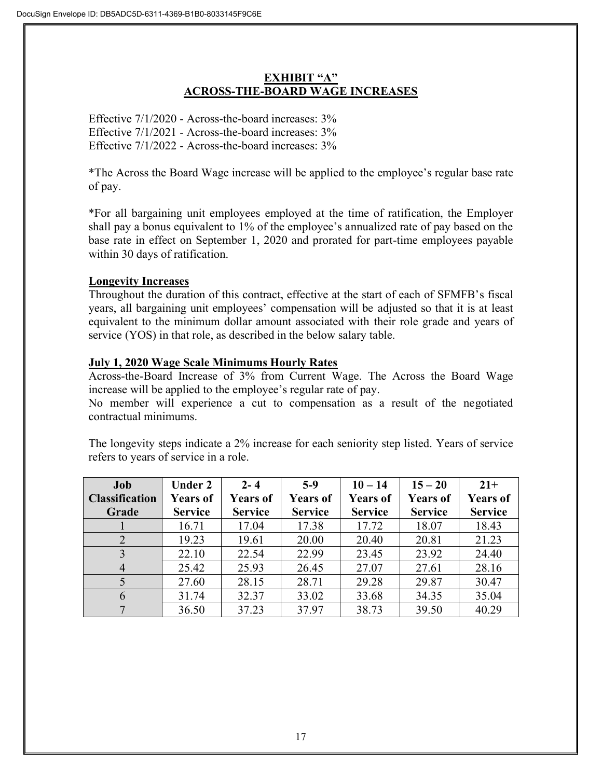## **EXHIBIT "A" ACROSS-THE-BOARD WAGE INCREASES**

Effective 7/1/2020 - Across-the-board increases: 3% Effective 7/1/2021 - Across-the-board increases: 3% Effective 7/1/2022 - Across-the-board increases: 3%

\*The Across the Board Wage increase will be applied to the employee's regular base rate of pay.

\*For all bargaining unit employees employed at the time of ratification, the Employer shall pay a bonus equivalent to 1% of the employee's annualized rate of pay based on the base rate in effect on September 1, 2020 and prorated for part-time employees payable within 30 days of ratification.

## **Longevity Increases**

Throughout the duration of this contract, effective at the start of each of SFMFB's fiscal years, all bargaining unit employees' compensation will be adjusted so that it is at least equivalent to the minimum dollar amount associated with their role grade and years of service (YOS) in that role, as described in the below salary table.

## **July 1, 2020 Wage Scale Minimums Hourly Rates**

Across-the-Board Increase of 3% from Current Wage. The Across the Board Wage increase will be applied to the employee's regular rate of pay.

No member will experience a cut to compensation as a result of the negotiated contractual minimums.

The longevity steps indicate a 2% increase for each seniority step listed. Years of service refers to years of service in a role.

| Job                   | <b>Under 2</b>  | $2 - 4$         | $5-9$           | $10 - 14$       | $15 - 20$       | $21+$           |
|-----------------------|-----------------|-----------------|-----------------|-----------------|-----------------|-----------------|
| <b>Classification</b> | <b>Years of</b> | <b>Years of</b> | <b>Years of</b> | <b>Years of</b> | <b>Years of</b> | <b>Years of</b> |
| Grade                 | <b>Service</b>  | <b>Service</b>  | <b>Service</b>  | <b>Service</b>  | <b>Service</b>  | <b>Service</b>  |
|                       | 16.71           | 17.04           | 17.38           | 17.72           | 18.07           | 18.43           |
| $\overline{2}$        | 19.23           | 19.61           | 20.00           | 20.40           | 20.81           | 21.23           |
| 3                     | 22.10           | 22.54           | 22.99           | 23.45           | 23.92           | 24.40           |
| $\overline{4}$        | 25.42           | 25.93           | 26.45           | 27.07           | 27.61           | 28.16           |
| 5                     | 27.60           | 28.15           | 28.71           | 29.28           | 29.87           | 30.47           |
| 6                     | 31.74           | 32.37           | 33.02           | 33.68           | 34.35           | 35.04           |
| 7                     | 36.50           | 37.23           | 37.97           | 38.73           | 39.50           | 40.29           |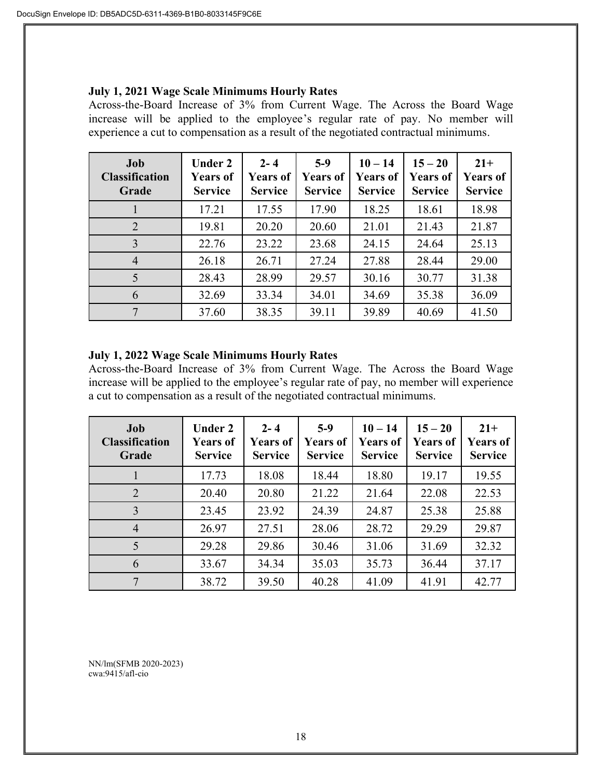#### **July 1, 2021 Wage Scale Minimums Hourly Rates**

Across-the-Board Increase of 3% from Current Wage. The Across the Board Wage increase will be applied to the employee's regular rate of pay. No member will experience a cut to compensation as a result of the negotiated contractual minimums.

| Job<br><b>Classification</b><br>Grade | <b>Under 2</b><br><b>Years of</b><br><b>Service</b> | $2 - 4$<br><b>Years of</b><br><b>Service</b> | $5-9$<br><b>Years of</b><br><b>Service</b> | $10 - 14$<br><b>Years of</b><br><b>Service</b> | $15 - 20$<br><b>Years of</b><br><b>Service</b> | $21+$<br><b>Years of</b><br><b>Service</b> |
|---------------------------------------|-----------------------------------------------------|----------------------------------------------|--------------------------------------------|------------------------------------------------|------------------------------------------------|--------------------------------------------|
|                                       | 17.21                                               | 17.55                                        | 17.90                                      | 18.25                                          | 18.61                                          | 18.98                                      |
| $\overline{2}$                        | 19.81                                               | 20.20                                        | 20.60                                      | 21.01                                          | 21.43                                          | 21.87                                      |
| 3                                     | 22.76                                               | 23.22                                        | 23.68                                      | 24.15                                          | 24.64                                          | 25.13                                      |
| $\overline{4}$                        | 26.18                                               | 26.71                                        | 27.24                                      | 27.88                                          | 28.44                                          | 29.00                                      |
| 5                                     | 28.43                                               | 28.99                                        | 29.57                                      | 30.16                                          | 30.77                                          | 31.38                                      |
| 6                                     | 32.69                                               | 33.34                                        | 34.01                                      | 34.69                                          | 35.38                                          | 36.09                                      |
| 7                                     | 37.60                                               | 38.35                                        | 39.11                                      | 39.89                                          | 40.69                                          | 41.50                                      |

#### **July 1, 2022 Wage Scale Minimums Hourly Rates**

Across-the-Board Increase of 3% from Current Wage. The Across the Board Wage increase will be applied to the employee's regular rate of pay, no member will experience a cut to compensation as a result of the negotiated contractual minimums.

| Job<br><b>Classification</b><br>Grade | <b>Under 2</b><br><b>Years of</b><br><b>Service</b> | $2 - 4$<br><b>Years of</b><br><b>Service</b> | $5-9$<br><b>Years of</b><br><b>Service</b> | $10 - 14$<br><b>Years of</b><br><b>Service</b> | $15 - 20$<br><b>Years of</b><br><b>Service</b> | $21+$<br><b>Years of</b><br><b>Service</b> |
|---------------------------------------|-----------------------------------------------------|----------------------------------------------|--------------------------------------------|------------------------------------------------|------------------------------------------------|--------------------------------------------|
|                                       | 17.73                                               | 18.08                                        | 18.44                                      | 18.80                                          | 19.17                                          | 19.55                                      |
| 2                                     | 20.40                                               | 20.80                                        | 21.22                                      | 21.64                                          | 22.08                                          | 22.53                                      |
| 3                                     | 23.45                                               | 23.92                                        | 24.39                                      | 24.87                                          | 25.38                                          | 25.88                                      |
| $\overline{4}$                        | 26.97                                               | 27.51                                        | 28.06                                      | 28.72                                          | 29.29                                          | 29.87                                      |
| 5                                     | 29.28                                               | 29.86                                        | 30.46                                      | 31.06                                          | 31.69                                          | 32.32                                      |
| 6                                     | 33.67                                               | 34.34                                        | 35.03                                      | 35.73                                          | 36.44                                          | 37.17                                      |
| 7                                     | 38.72                                               | 39.50                                        | 40.28                                      | 41.09                                          | 41.91                                          | 42.77                                      |

NN/lm(SFMB 2020-2023) cwa:9415/afl-cio